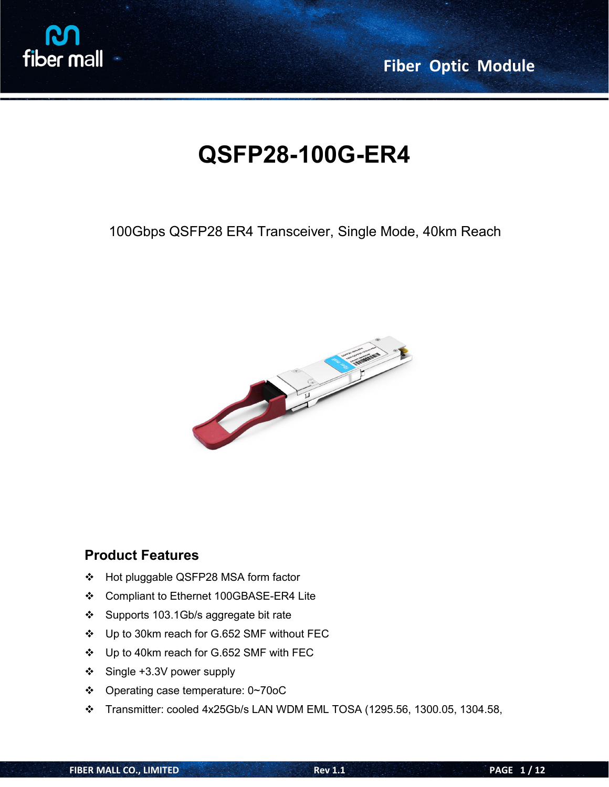

**Fiber Optic Module**

# **QSFP28-100G-ER4**

100Gbps QSFP28 ER4 Transceiver, Single Mode, 40km Reach



### **Product Features**

- Hot pluggable QSFP28 MSA form factor
- Compliant to Ethernet 100GBASE-ER4 Lite
- Supports 103.1Gb/s aggregate bit rate
- Up to 30km reach for G.652 SMF without FEC
- Up to 40km reach for G.652 SMF with FEC
- Single +3.3V power supply
- Operating case temperature: 0~70oC
- Transmitter: cooled 4x25Gb/s LAN WDM EML TOSA (1295.56, 1300.05, 1304.58,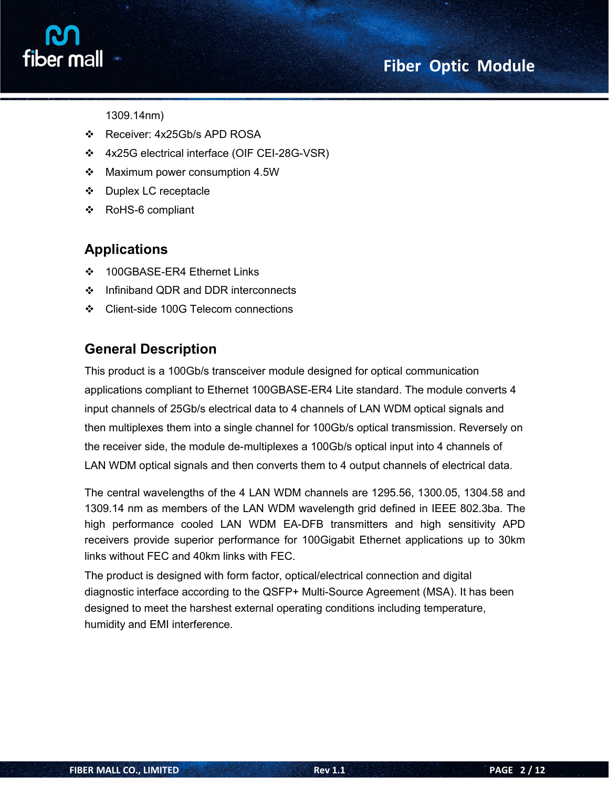# **Fiber Optic Module**



1309.14nm)

- Receiver: 4x25Gb/s APD ROSA
- 4x25G electrical interface (OIF CEI-28G-VSR)
- Maximum power consumption 4.5W
- ❖ Duplex LC receptacle
- RoHS-6 compliant

# **Applications**

- ❖ 100GBASE-ER4 Ethernet Links
- ❖ Infiniband QDR and DDR interconnects
- ❖ Client-side 100G Telecom connections

# **General Description**

This product is a 100Gb/s transceiver module designed for optical communication applications compliant to Ethernet 100GBASE-ER4 Lite standard. The module converts 4 input channels of 25Gb/s electrical data to 4 channels of LAN WDM optical signals and then multiplexes them into a single channel for 100Gb/s optical transmission. Reversely on the receiver side, the module de-multiplexes a 100Gb/s optical input into 4 channels of LAN WDM optical signals and then converts them to 4 output channels of electrical data.

The central wavelengths of the 4 LAN WDM channels are 1295.56, 1300.05, 1304.58 and 1309.14 nm as members of the LAN WDM wavelength grid defined in IEEE 802.3ba. The high performance cooled LAN WDM EA-DFB transmitters and high sensitivity APD receivers provide superior performance for 100Gigabit Ethernet applications up to 30km links without FEC and 40km links with FEC.

The product is designed with form factor, optical/electrical connection and digital diagnostic interface according to the QSFP+ Multi-Source Agreement (MSA). It has been designed to meet the harshest external operating conditions including temperature, humidity and EMI interference.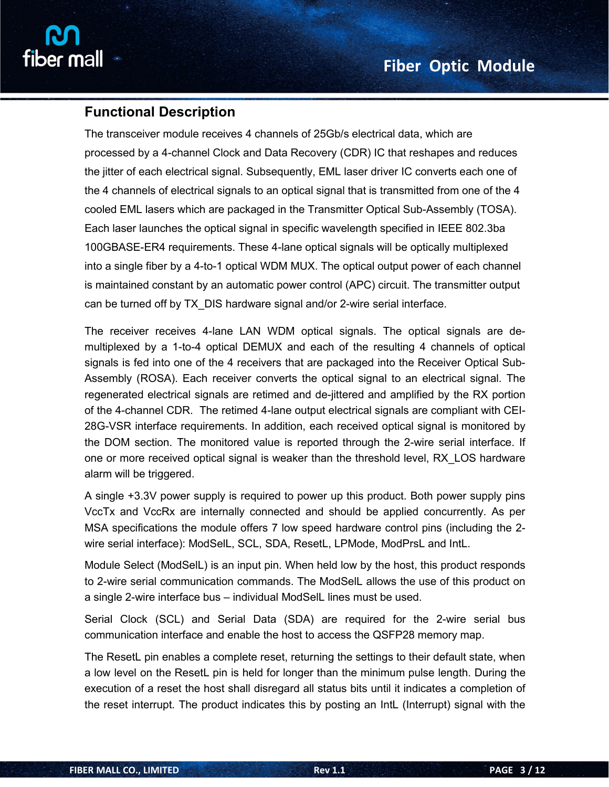

### **Functional Description**

The transceiver module receives 4 channels of 25Gb/s electrical data, which are processed by a 4-channel Clock and Data Recovery (CDR) IC that reshapes and reduces the jitter of each electrical signal. Subsequently, EML laser driver IC converts each one of the 4 channels of electrical signals to an optical signal that is transmitted from one of the 4 cooled EML lasers which are packaged in the Transmitter Optical Sub-Assembly (TOSA). Each laser launches the optical signal in specific wavelength specified in IEEE 802.3ba 100GBASE-ER4 requirements. These 4-lane optical signals will be optically multiplexed into a single fiber by a 4-to-1 optical WDM MUX. The optical output power of each channel is maintained constant by an automatic power control (APC) circuit. The transmitter output can be turned off by TX DIS hardware signal and/or 2-wire serial interface.

The receiver receives 4-lane LAN WDM optical signals. The optical signals are de multiplexed by a 1-to-4 optical DEMUX and each of the resulting 4 channels of optical signals is fed into one of the 4 receivers that are packaged into the Receiver Optical Sub-Assembly (ROSA). Each receiver converts the optical signal to an electrical signal. The regenerated electrical signals are retimed and de-jittered and amplified by the RX portion of the 4-channel CDR. The retimed 4-lane output electrical signals are compliant with CEI- 28G-VSR interface requirements. In addition, each received optical signal is monitored by the DOM section. The monitored value is reported through the 2-wire serial interface. If one or more received optical signal is weaker than the threshold level, RX\_LOS hardware alarm will be triggered.

A single  $+3.3V$  power supply is required to power up this product. Both power supply pins VccTx and VccRx are internally connected and should be applied concurrently. As per MSA specifications the module offers 7 low speed hardware control pins (including the 2 wire serial interface): ModSelL, SCL, SDA, ResetL, LPMode, ModPrsL and IntL.

Module Select (ModSelL) is an input pin. When held low by the host, this product responds to 2-wire serial communication commands. The ModSelL allows the use of this product on a single 2-wire interface bus – individual ModSelL lines must be used.

Serial Clock (SCL) and Serial Data (SDA) are required for the 2-wire serial bus communication interface and enable the host to access the QSFP28 memory map.

The ResetL pin enables a complete reset, returning the settings to their default state, when a low level on the ResetL pin is held for longer than the minimum pulse length. During the execution of a reset the host shall disregard all status bits until it indicates a completion of the reset interrupt. The product indicates this by posting an IntL (Interrupt) signal with the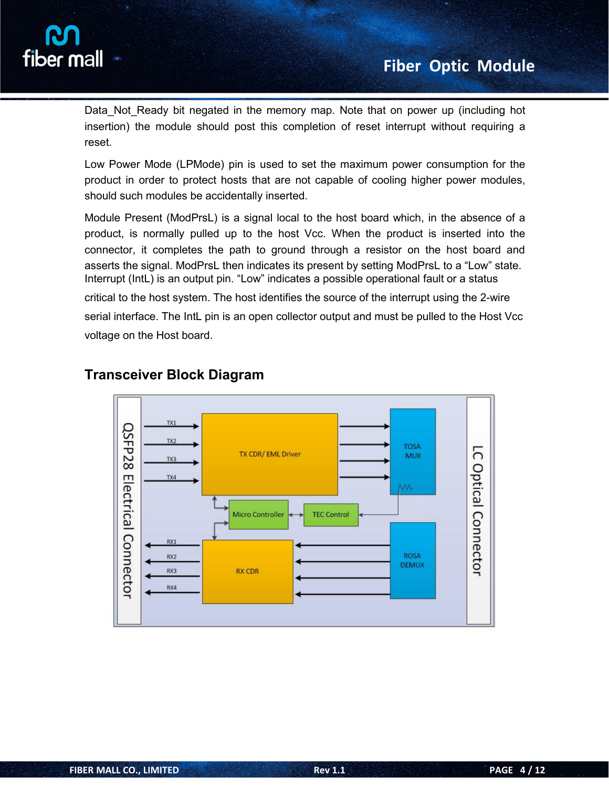

Data Not Ready bit negated in the memory map. Note that on power up (including hot insertion) the module should post this completion of reset interrupt without requiring a reset.

Low Power Mode (LPMode) pin is used to set the maximum power consumption for the product in order to protect hosts that are not capable of cooling higher power modules, should such modules be accidentally inserted.

Module Present (ModPrsL) is a signal local to the host board which, in the absence of a product, is normally pulled up to the host Vcc. When the product is inserted into the connector, it completes the path to ground through a resistor on the host board and asserts the signal. ModPrsL then indicates its present by setting ModPrsL to a "Low" state. Interrupt (IntL) is an output pin. "Low" indicates a possible operational fault or a status

critical to the host system. The host identifies the source of the interrupt using the 2-wire serial interface. The IntL pin is an open collector output and must be pulled to the Host Vcc voltage on the Host board.



## **Transceiver Block Diagram**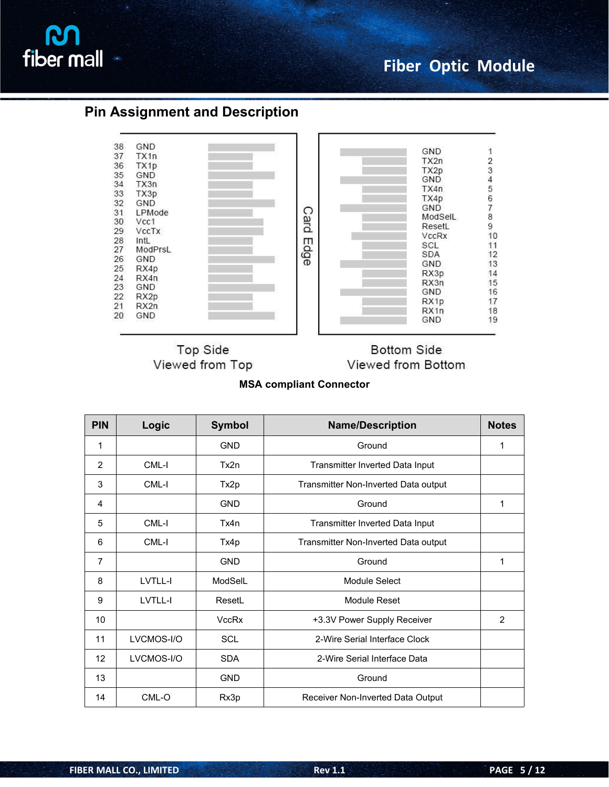

## **Pin Assignment and Description**



**Top Side** Viewed from Top

**Bottom Side** Viewed from Bottom

**MSA compliant Connector**

| <b>PIN</b>     | Logic      | Symbol       | <b>Name/Description</b>              | <b>Notes</b> |
|----------------|------------|--------------|--------------------------------------|--------------|
| 1              |            | <b>GND</b>   | Ground                               | 1            |
| $\overline{2}$ | CML-I      | Tx2n         | Transmitter Inverted Data Input      |              |
| 3              | CML-I      | Tx2p         | Transmitter Non-Inverted Data output |              |
| 4              |            | <b>GND</b>   | Ground                               | 1            |
| 5              | CML-I      | Tx4n         | Transmitter Inverted Data Input      |              |
| 6              | CML-I      | Tx4p         | Transmitter Non-Inverted Data output |              |
| 7              |            | <b>GND</b>   | Ground                               | 1            |
| 8              | LVTLL-I    | ModSelL      | Module Select                        |              |
| 9              | LVTLL-I    | ResetL       | Module Reset                         |              |
| 10             |            | <b>VccRx</b> | +3.3V Power Supply Receiver          | 2            |
| 11             | LVCMOS-I/O | SCL          | 2-Wire Serial Interface Clock        |              |
| 12             | LVCMOS-I/O | <b>SDA</b>   | 2-Wire Serial Interface Data         |              |
| 13             |            | <b>GND</b>   | Ground                               |              |
| 14             | CML-O      | Rx3p         | Receiver Non-Inverted Data Output    |              |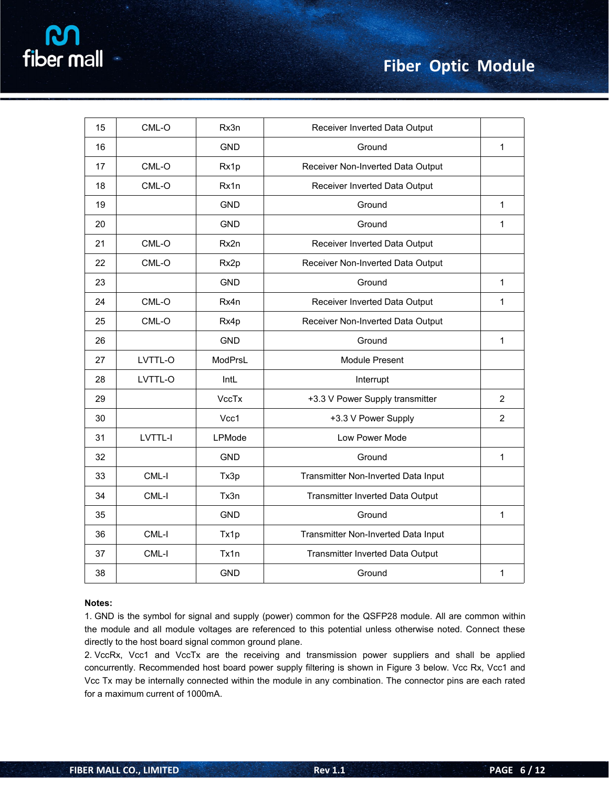| fiber mall |  |  |  |
|------------|--|--|--|
|            |  |  |  |
|            |  |  |  |

| 15 | CML-O   | Rx3n       | Receiver Inverted Data Output       |                |  |  |
|----|---------|------------|-------------------------------------|----------------|--|--|
| 16 |         | <b>GND</b> | Ground                              | $\mathbf{1}$   |  |  |
| 17 | CML-O   | Rx1p       | Receiver Non-Inverted Data Output   |                |  |  |
| 18 | CML-O   | Rx1n       | Receiver Inverted Data Output       |                |  |  |
| 19 |         | <b>GND</b> | Ground                              | $\mathbf{1}$   |  |  |
| 20 |         | <b>GND</b> | Ground                              | $\mathbf{1}$   |  |  |
| 21 | $CML-O$ | Rx2n       | Receiver Inverted Data Output       |                |  |  |
| 22 | $CML-O$ | Rx2p       | Receiver Non-Inverted Data Output   |                |  |  |
| 23 |         | <b>GND</b> | Ground                              | $\mathbf{1}$   |  |  |
| 24 | $CML-O$ | Rx4n       | Receiver Inverted Data Output       | $\mathbf{1}$   |  |  |
| 25 | $CML-O$ | Rx4p       | Receiver Non-Inverted Data Output   |                |  |  |
| 26 |         | <b>GND</b> | Ground                              | $\mathbf{1}$   |  |  |
| 27 | LVTTL-O | ModPrsL    | Module Present                      |                |  |  |
| 28 | LVTTL-O | IntL       | Interrupt                           |                |  |  |
| 29 |         | VccTx      | +3.3 V Power Supply transmitter     | $\overline{2}$ |  |  |
| 30 |         | Vcc1       | +3.3 V Power Supply                 | $\overline{2}$ |  |  |
| 31 | LVTTL-I | LPMode     | Low Power Mode                      |                |  |  |
| 32 |         | <b>GND</b> | Ground                              | $\mathbf{1}$   |  |  |
| 33 | CML-I   | Tx3p       | Transmitter Non-Inverted Data Input |                |  |  |
| 34 | CML-I   | Tx3n       | Transmitter Inverted Data Output    |                |  |  |
| 35 |         | <b>GND</b> | Ground                              | $\mathbf{1}$   |  |  |
| 36 | CML-I   | Tx1p       | Transmitter Non-Inverted Data Input |                |  |  |
| 37 | CML-I   | Tx1n       | Transmitter Inverted Data Output    |                |  |  |
| 38 |         | <b>GND</b> | Ground                              | $\mathbf{1}$   |  |  |

#### **Notes:**

1. GND is the symbol for signal and supply (power) common for the QSFP28 module. All are common within the module and all module voltages are referenced to this potential unless otherwise noted. Connect these directly to the host board signal common ground plane.

2. VccRx, Vcc1 and VccTx are the receiving and transmission power suppliers and shall be applied concurrently. Recommended host board power supply filtering isshown in Figure 3 below. Vcc Rx, Vcc1 and Vcc Tx may be internally connected within the module in any combination. The connector pins are each rated for a maximum current of 1000mA.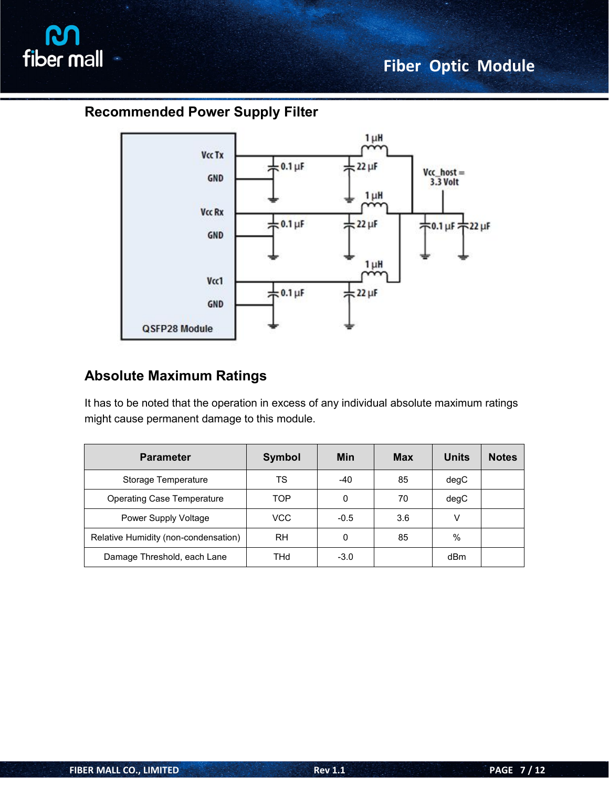

# **Recommended Power Supply Filter**



# **Absolute Maximum Ratings**

It has to be noted that the operation in excess of any individual absolute maximum ratings might cause permanent damage to this module.

| <b>Parameter</b>                     | <b>Symbol</b> | <b>Min</b> | <b>Max</b> | <b>Units</b> | <b>Notes</b> |
|--------------------------------------|---------------|------------|------------|--------------|--------------|
| Storage Temperature                  | TS            | -40        | 85         | degC         |              |
| <b>Operating Case Temperature</b>    | TOP           | 0          | 70         | degC         |              |
| Power Supply Voltage                 | VCC           | $-0.5$     | 3.6        | v            |              |
| Relative Humidity (non-condensation) | <b>RH</b>     | 0          | 85         | $\%$         |              |
| Damage Threshold, each Lane          | THd           | $-3.0$     |            | dBm          |              |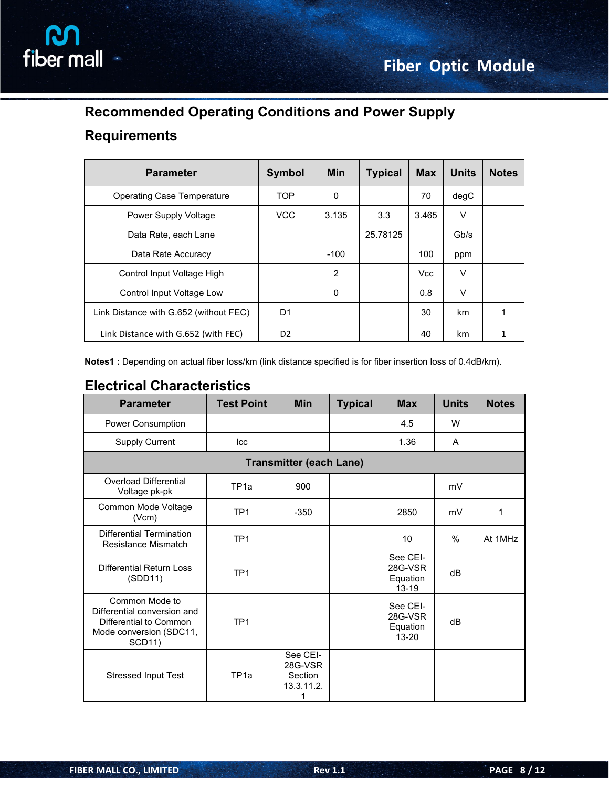

# **Recommended Operating Conditions and Power Supply**

## **Requirements**

| <b>Parameter</b>                       | <b>Symbol</b>  | <b>Min</b> | <b>Typical</b> | <b>Max</b> | <b>Units</b> | <b>Notes</b> |
|----------------------------------------|----------------|------------|----------------|------------|--------------|--------------|
| <b>Operating Case Temperature</b>      | <b>TOP</b>     | 0          |                | 70         | degC         |              |
| Power Supply Voltage                   | <b>VCC</b>     | 3.135      | 3.3            | 3.465      | V            |              |
| Data Rate, each Lane                   |                |            | 25.78125       |            | Gb/s         |              |
| Data Rate Accuracy                     |                | $-100$     |                | 100        | ppm          |              |
| Control Input Voltage High             |                | 2          |                | <b>Vcc</b> | V            |              |
| Control Input Voltage Low              |                | 0          |                | 0.8        | V            |              |
| Link Distance with G.652 (without FEC) | D <sub>1</sub> |            |                | 30         | km           | 1            |
| Link Distance with G.652 (with FEC)    | D <sub>2</sub> |            |                | 40         | km           | 1            |

**Notes1 :** Depending on actual fiber loss/km (link distance specified is for fiber insertion loss of 0.4dB/km).

# **Electrical Characteristics**

| <b>Parameter</b>                                                                                                    | <b>Test Point</b> | <b>Min</b>                                        | <b>Typical</b> | <b>Max</b>                                   | <b>Units</b> | <b>Notes</b> |
|---------------------------------------------------------------------------------------------------------------------|-------------------|---------------------------------------------------|----------------|----------------------------------------------|--------------|--------------|
| Power Consumption                                                                                                   |                   |                                                   |                | 4.5                                          | W            |              |
| <b>Supply Current</b>                                                                                               | Icc               |                                                   |                | 1.36                                         | A            |              |
|                                                                                                                     |                   | <b>Transmitter (each Lane)</b>                    |                |                                              |              |              |
| Overload Differential<br>Voltage pk-pk                                                                              | TP <sub>1a</sub>  | 900                                               |                |                                              | mV           |              |
| Common Mode Voltage<br>(Vcm)                                                                                        | TP <sub>1</sub>   | $-350$                                            |                | 2850                                         | mV           | 1            |
| <b>Differential Termination</b><br>Resistance Mismatch                                                              | TP <sub>1</sub>   |                                                   |                | 10                                           | $\%$         | At 1MHz      |
| <b>Differential Return Loss</b><br>(SDD11)                                                                          | TP <sub>1</sub>   |                                                   |                | See CEI-<br>28G-VSR<br>Equation<br>$13 - 19$ | dB           |              |
| Common Mode to<br>Differential conversion and<br>Differential to Common<br>Mode conversion (SDC11,<br><b>SCD11)</b> | TP <sub>1</sub>   |                                                   |                | See CEI-<br>28G-VSR<br>Equation<br>$13 - 20$ | dB           |              |
| <b>Stressed Input Test</b>                                                                                          | TP <sub>1a</sub>  | See CEI-<br>28G-VSR<br>Section<br>13.3.11.2.<br>1 |                |                                              |              |              |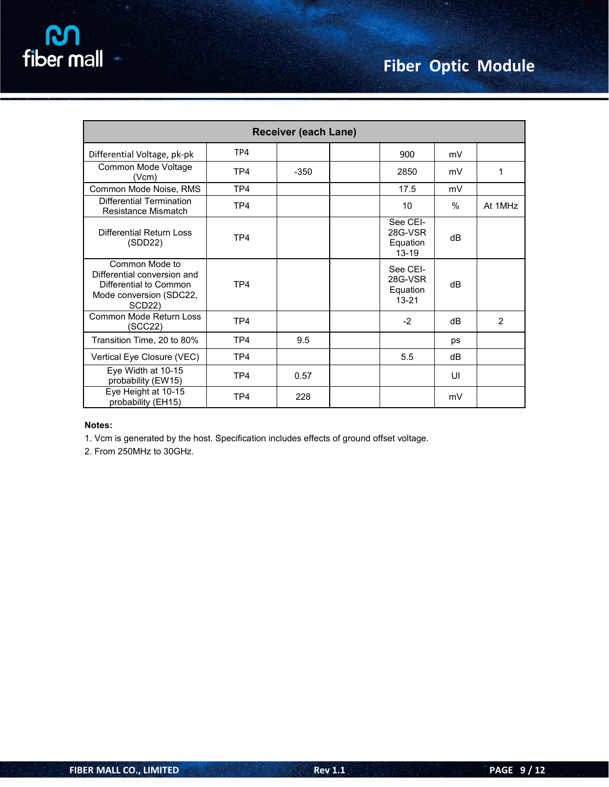| <b>Receiver (each Lane)</b>                                                                                               |                 |        |  |                                              |      |         |  |  |
|---------------------------------------------------------------------------------------------------------------------------|-----------------|--------|--|----------------------------------------------|------|---------|--|--|
| Differential Voltage, pk-pk                                                                                               | TP4             |        |  | 900                                          | mV   |         |  |  |
| Common Mode Voltage<br>(Vcm)                                                                                              | TP4             | $-350$ |  | 2850                                         | mV   | 1       |  |  |
| Common Mode Noise, RMS                                                                                                    | TP <sub>4</sub> |        |  | 17.5                                         | mV   |         |  |  |
| <b>Differential Termination</b><br>Resistance Mismatch                                                                    | TP4             |        |  | 10                                           | $\%$ | At 1MHz |  |  |
| Differential Return Loss<br>(SDD22)                                                                                       | TP4             |        |  | See CEI-<br>28G-VSR<br>Equation<br>$13 - 19$ | dB   |         |  |  |
| Common Mode to<br>Differential conversion and<br>Differential to Common<br>Mode conversion (SDC22,<br>SCD <sub>22</sub> ) | TP <sub>4</sub> |        |  | See CEI-<br>28G-VSR<br>Equation<br>$13 - 21$ | dB   |         |  |  |
| Common Mode Return Loss<br>(SCC22)                                                                                        | TP4             |        |  | $-2$                                         | dB   | 2       |  |  |
| Transition Time, 20 to 80%                                                                                                | TP <sub>4</sub> | 9.5    |  |                                              | ps   |         |  |  |
| Vertical Eye Closure (VEC)                                                                                                | TP <sub>4</sub> |        |  | 5.5                                          | dB   |         |  |  |
| Eye Width at 10-15<br>probability (EW15)                                                                                  | TP4             | 0.57   |  |                                              | UI   |         |  |  |
| Eye Height at 10-15<br>probability (EH15)                                                                                 | TP <sub>4</sub> | 228    |  |                                              | mV   |         |  |  |

#### **Notes:**

1. Vcm is generated by the host. Specification includes effects of ground offset voltage.

2. From 250MHz to 30GHz.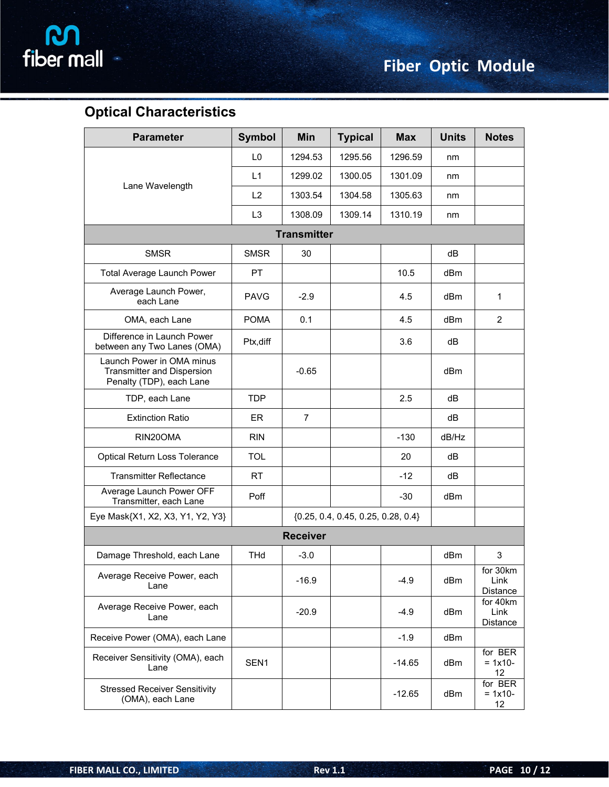

# **Optical Characteristics**

| <b>Parameter</b>                                                                           | Symbol         | Min                | <b>Typical</b>                       | <b>Max</b> | <b>Units</b> | <b>Notes</b>                 |
|--------------------------------------------------------------------------------------------|----------------|--------------------|--------------------------------------|------------|--------------|------------------------------|
|                                                                                            | L <sub>0</sub> | 1294.53            | 1295.56                              | 1296.59    | nm           |                              |
|                                                                                            | L1             | 1299.02            | 1300.05                              | 1301.09    | nm           |                              |
| Lane Wavelength                                                                            | L2             | 1303.54            | 1304.58                              | 1305.63    | nm           |                              |
|                                                                                            | L <sub>3</sub> | 1308.09            | 1309.14                              | 1310.19    | nm           |                              |
|                                                                                            |                | <b>Transmitter</b> |                                      |            |              |                              |
| <b>SMSR</b>                                                                                | <b>SMSR</b>    | 30                 |                                      |            | dB           |                              |
| <b>Total Average Launch Power</b>                                                          | PT             |                    |                                      | 10.5       | dBm          |                              |
| Average Launch Power,<br>each Lane                                                         | <b>PAVG</b>    | $-2.9$             |                                      | 4.5        | dBm          | $\mathbf{1}$                 |
| OMA, each Lane                                                                             | <b>POMA</b>    | 0.1                |                                      | 4.5        | dBm          | 2                            |
| Difference in Launch Power<br>between any Two Lanes (OMA)                                  | Ptx, diff      |                    |                                      | 3.6        | dB           |                              |
| Launch Power in OMA minus<br><b>Transmitter and Dispersion</b><br>Penalty (TDP), each Lane |                | $-0.65$            |                                      |            | dBm          |                              |
| TDP, each Lane                                                                             | <b>TDP</b>     |                    |                                      | 2.5        | dB           |                              |
| <b>Extinction Ratio</b>                                                                    | ER             | $\overline{7}$     |                                      |            | dB           |                              |
| RIN20OMA                                                                                   | <b>RIN</b>     |                    |                                      | $-130$     | dB/Hz        |                              |
| Optical Return Loss Tolerance                                                              | TOL            |                    |                                      | 20         | dB           |                              |
| <b>Transmitter Reflectance</b>                                                             | <b>RT</b>      |                    |                                      | $-12$      | dB           |                              |
| Average Launch Power OFF<br>Transmitter, each Lane                                         | Poff           |                    |                                      | $-30$      | dBm          |                              |
| Eye Mask{X1, X2, X3, Y1, Y2, Y3}                                                           |                |                    | ${0.25, 0.4, 0.45, 0.25, 0.28, 0.4}$ |            |              |                              |
|                                                                                            |                | <b>Receiver</b>    |                                      |            |              |                              |
| Damage Threshold, each Lane                                                                | <b>THd</b>     | $-3.0$             |                                      |            | dBm          | 3                            |
| Average Receive Power, each<br>Lane                                                        |                | $-16.9$            |                                      | $-4.9$     | dBm          | for 30km<br>Link<br>Distance |
| Average Receive Power, each<br>Lane                                                        |                | $-20.9$            |                                      | $-4.9$     | dBm          | for 40km<br>Link<br>Distance |
| Receive Power (OMA), each Lane                                                             |                |                    |                                      | $-1.9$     | dBm          |                              |
| Receiver Sensitivity (OMA), each<br>Lane                                                   | SEN1           |                    |                                      | $-14.65$   | dBm          | for BER<br>$= 1x10 -$<br>12  |
| <b>Stressed Receiver Sensitivity</b><br>(OMA), each Lane                                   |                |                    |                                      | $-12.65$   | dBm          | for BER<br>$= 1x10-$<br>12   |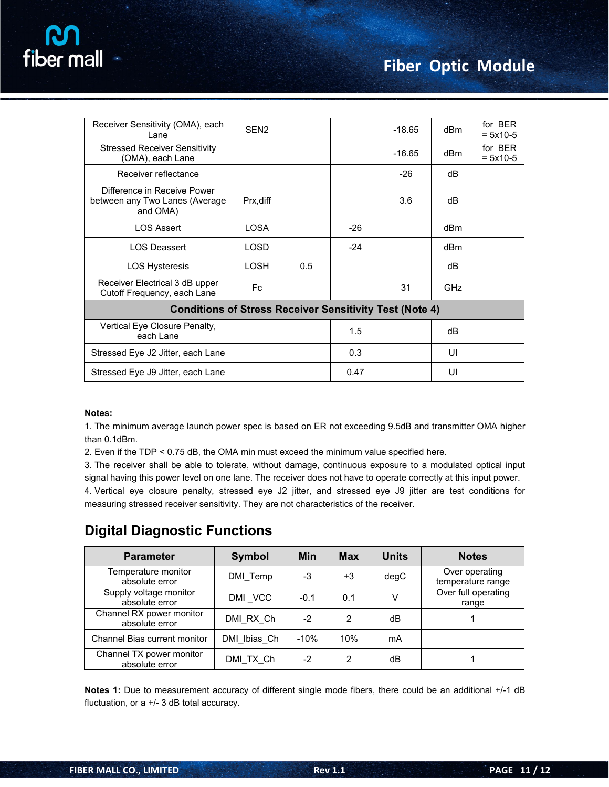

| Receiver Sensitivity (OMA), each<br>Lane                                  | SEN <sub>2</sub> |     |       | $-18.65$ | dBm        | for BER<br>$= 5x10-5$ |
|---------------------------------------------------------------------------|------------------|-----|-------|----------|------------|-----------------------|
| <b>Stressed Receiver Sensitivity</b><br>(OMA), each Lane                  |                  |     |       | $-16.65$ | dBm        | for BER<br>$= 5x10-5$ |
| Receiver reflectance                                                      |                  |     |       | $-26$    | dB         |                       |
| Difference in Receive Power<br>between any Two Lanes (Average<br>and OMA) | Prx, diff        |     |       | 3.6      | dB         |                       |
| <b>LOS Assert</b>                                                         | <b>LOSA</b>      |     | $-26$ |          | dBm        |                       |
| <b>LOS Deassert</b>                                                       | <b>LOSD</b>      |     | $-24$ |          | dBm        |                       |
| <b>LOS Hysteresis</b>                                                     | <b>LOSH</b>      | 0.5 |       |          | dB         |                       |
| Receiver Electrical 3 dB upper<br>Cutoff Frequency, each Lane             | Fc               |     |       | 31       | <b>GHz</b> |                       |
| <b>Conditions of Stress Receiver Sensitivity Test (Note 4)</b>            |                  |     |       |          |            |                       |
| Vertical Eye Closure Penalty,<br>each Lane                                |                  |     | 1.5   |          | dB         |                       |
| Stressed Eye J2 Jitter, each Lane                                         |                  |     | 0.3   |          | UI         |                       |
| Stressed Eye J9 Jitter, each Lane                                         |                  |     | 0.47  |          | UI         |                       |
|                                                                           |                  |     |       |          |            |                       |

#### **Notes:**

1. The minimum average launch power spec is based on ER not exceeding 9.5dB and transmitter OMA higher than 0.1dBm.

2. Even if the TDP < 0.75 dB, the OMA min must exceed the minimum value specified here.

measuring stressed receiver sensitivity. They are not characteristics of the receiver.

3. The receiver shall be able to tolerate, without damage, continuous exposure to a modulated optical input signal having this power level on one lane. The receiver does not have to operate correctly at this input power. 4. Vertical eye closure penalty, stressed eye J2 jitter, and stressed eye J9 jitter are test conditions for

**Digital Diagnostic Functions**

| <b>Parameter</b>                           | <b>Symbol</b> | Min    | <b>Max</b>     | <b>Units</b> | <b>Notes</b>                        |
|--------------------------------------------|---------------|--------|----------------|--------------|-------------------------------------|
| Temperature monitor<br>absolute error      | DMI Temp      | -3     | $+3$           | degC         | Over operating<br>temperature range |
| Supply voltage monitor<br>absolute error   | DMI VCC       | $-0.1$ | 0.1            | v            | Over full operating<br>range        |
| Channel RX power monitor<br>absolute error | DMI RX Ch     | $-2$   | 2              | dB           |                                     |
| Channel Bias current monitor               | DMI Ibias Ch  | $-10%$ | 10%            | mA           |                                     |
| Channel TX power monitor<br>absolute error | DMI TX Ch     | $-2$   | $\overline{2}$ | dB           |                                     |

**Notes 1:** Due to measurement accuracy of different single mode fibers, there could be an additional +/-1 dB fluctuation, or a +/- 3 dB total accuracy.